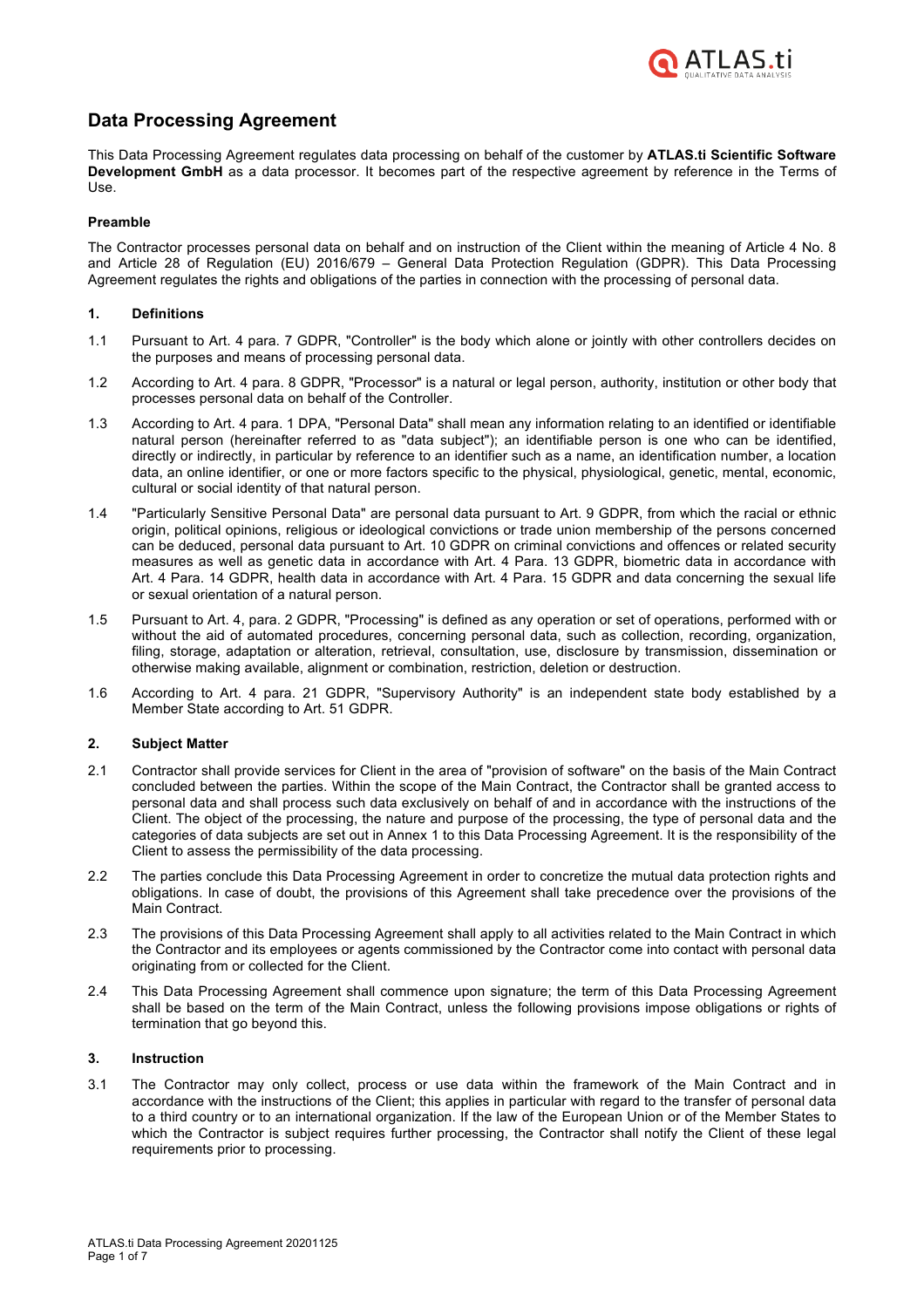

# **Data Processing Agreement**

This Data Processing Agreement regulates data processing on behalf of the customer by **ATLAS.ti Scientific Software Development GmbH** as a data processor. It becomes part of the respective agreement by reference in the Terms of Use.

### **Preamble**

The Contractor processes personal data on behalf and on instruction of the Client within the meaning of Article 4 No. 8 and Article 28 of Regulation (EU) 2016/679 – General Data Protection Regulation (GDPR). This Data Processing Agreement regulates the rights and obligations of the parties in connection with the processing of personal data.

### **1. Definitions**

- 1.1 Pursuant to Art. 4 para. 7 GDPR, "Controller" is the body which alone or jointly with other controllers decides on the purposes and means of processing personal data.
- 1.2 According to Art. 4 para. 8 GDPR, "Processor" is a natural or legal person, authority, institution or other body that processes personal data on behalf of the Controller.
- 1.3 According to Art. 4 para. 1 DPA, "Personal Data" shall mean any information relating to an identified or identifiable natural person (hereinafter referred to as "data subject"); an identifiable person is one who can be identified, directly or indirectly, in particular by reference to an identifier such as a name, an identification number, a location data, an online identifier, or one or more factors specific to the physical, physiological, genetic, mental, economic, cultural or social identity of that natural person.
- 1.4 "Particularly Sensitive Personal Data" are personal data pursuant to Art. 9 GDPR, from which the racial or ethnic origin, political opinions, religious or ideological convictions or trade union membership of the persons concerned can be deduced, personal data pursuant to Art. 10 GDPR on criminal convictions and offences or related security measures as well as genetic data in accordance with Art. 4 Para. 13 GDPR, biometric data in accordance with Art. 4 Para. 14 GDPR, health data in accordance with Art. 4 Para. 15 GDPR and data concerning the sexual life or sexual orientation of a natural person.
- 1.5 Pursuant to Art. 4, para. 2 GDPR, "Processing" is defined as any operation or set of operations, performed with or without the aid of automated procedures, concerning personal data, such as collection, recording, organization, filing, storage, adaptation or alteration, retrieval, consultation, use, disclosure by transmission, dissemination or otherwise making available, alignment or combination, restriction, deletion or destruction.
- 1.6 According to Art. 4 para. 21 GDPR, "Supervisory Authority" is an independent state body established by a Member State according to Art. 51 GDPR.

### **2. Subject Matter**

- 2.1 Contractor shall provide services for Client in the area of "provision of software" on the basis of the Main Contract concluded between the parties. Within the scope of the Main Contract, the Contractor shall be granted access to personal data and shall process such data exclusively on behalf of and in accordance with the instructions of the Client. The object of the processing, the nature and purpose of the processing, the type of personal data and the categories of data subjects are set out in Annex 1 to this Data Processing Agreement. It is the responsibility of the Client to assess the permissibility of the data processing.
- 2.2 The parties conclude this Data Processing Agreement in order to concretize the mutual data protection rights and obligations. In case of doubt, the provisions of this Agreement shall take precedence over the provisions of the Main Contract.
- 2.3 The provisions of this Data Processing Agreement shall apply to all activities related to the Main Contract in which the Contractor and its employees or agents commissioned by the Contractor come into contact with personal data originating from or collected for the Client.
- 2.4 This Data Processing Agreement shall commence upon signature; the term of this Data Processing Agreement shall be based on the term of the Main Contract, unless the following provisions impose obligations or rights of termination that go beyond this.

### **3. Instruction**

3.1 The Contractor may only collect, process or use data within the framework of the Main Contract and in accordance with the instructions of the Client; this applies in particular with regard to the transfer of personal data to a third country or to an international organization. If the law of the European Union or of the Member States to which the Contractor is subject requires further processing, the Contractor shall notify the Client of these legal requirements prior to processing.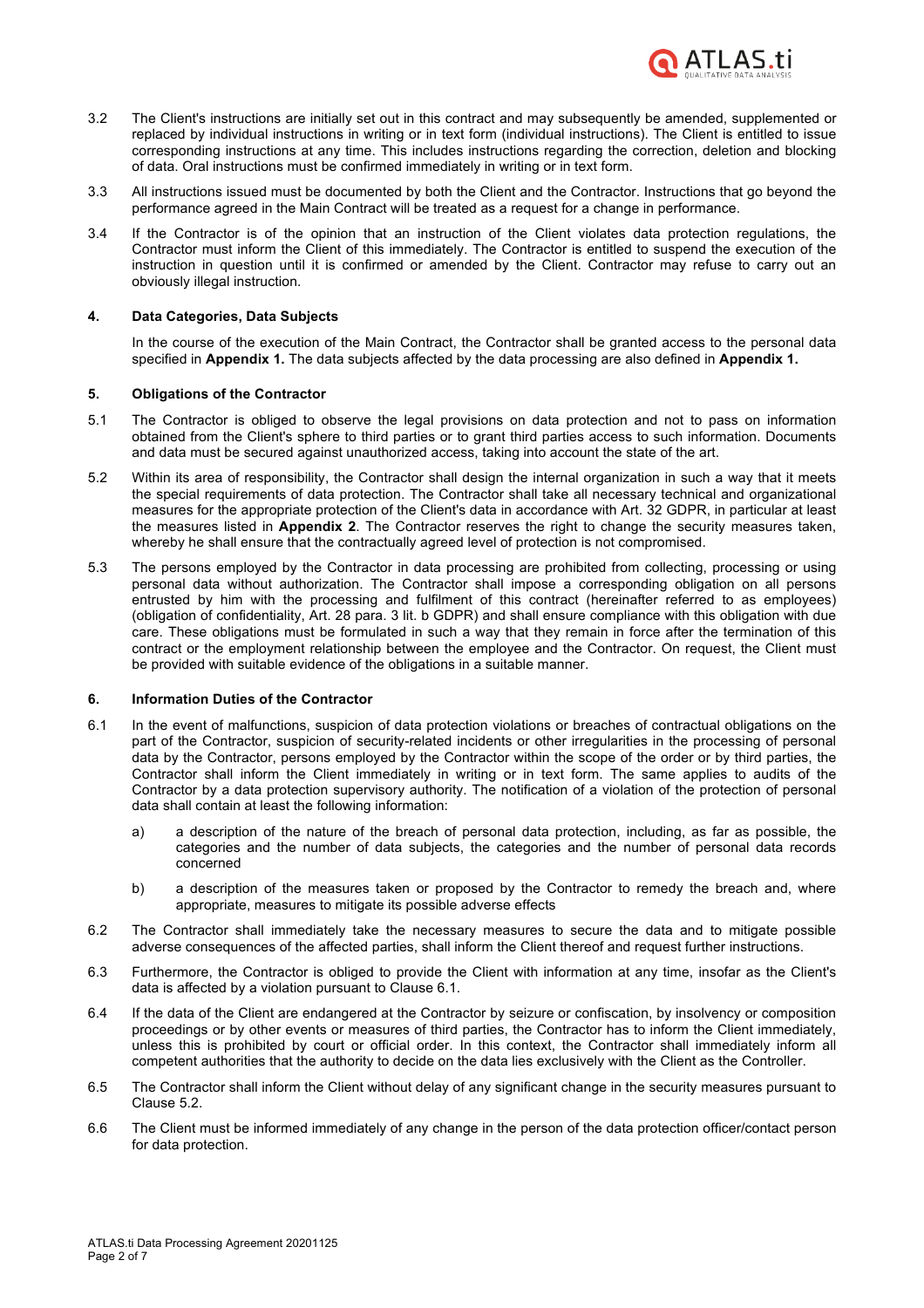

- 3.2 The Client's instructions are initially set out in this contract and may subsequently be amended, supplemented or replaced by individual instructions in writing or in text form (individual instructions). The Client is entitled to issue corresponding instructions at any time. This includes instructions regarding the correction, deletion and blocking of data. Oral instructions must be confirmed immediately in writing or in text form.
- 3.3 All instructions issued must be documented by both the Client and the Contractor. Instructions that go beyond the performance agreed in the Main Contract will be treated as a request for a change in performance.
- 3.4 If the Contractor is of the opinion that an instruction of the Client violates data protection regulations, the Contractor must inform the Client of this immediately. The Contractor is entitled to suspend the execution of the instruction in question until it is confirmed or amended by the Client. Contractor may refuse to carry out an obviously illegal instruction.

### **4. Data Categories, Data Subjects**

In the course of the execution of the Main Contract, the Contractor shall be granted access to the personal data specified in **Appendix 1.** The data subjects affected by the data processing are also defined in **Appendix 1.**

### **5. Obligations of the Contractor**

- 5.1 The Contractor is obliged to observe the legal provisions on data protection and not to pass on information obtained from the Client's sphere to third parties or to grant third parties access to such information. Documents and data must be secured against unauthorized access, taking into account the state of the art.
- 5.2 Within its area of responsibility, the Contractor shall design the internal organization in such a way that it meets the special requirements of data protection. The Contractor shall take all necessary technical and organizational measures for the appropriate protection of the Client's data in accordance with Art. 32 GDPR, in particular at least the measures listed in **Appendix 2**. The Contractor reserves the right to change the security measures taken, whereby he shall ensure that the contractually agreed level of protection is not compromised.
- 5.3 The persons employed by the Contractor in data processing are prohibited from collecting, processing or using personal data without authorization. The Contractor shall impose a corresponding obligation on all persons entrusted by him with the processing and fulfilment of this contract (hereinafter referred to as employees) (obligation of confidentiality, Art. 28 para. 3 lit. b GDPR) and shall ensure compliance with this obligation with due care. These obligations must be formulated in such a way that they remain in force after the termination of this contract or the employment relationship between the employee and the Contractor. On request, the Client must be provided with suitable evidence of the obligations in a suitable manner.

### **6. Information Duties of the Contractor**

- 6.1 In the event of malfunctions, suspicion of data protection violations or breaches of contractual obligations on the part of the Contractor, suspicion of security-related incidents or other irregularities in the processing of personal data by the Contractor, persons employed by the Contractor within the scope of the order or by third parties, the Contractor shall inform the Client immediately in writing or in text form. The same applies to audits of the Contractor by a data protection supervisory authority. The notification of a violation of the protection of personal data shall contain at least the following information:
	- a) a description of the nature of the breach of personal data protection, including, as far as possible, the categories and the number of data subjects, the categories and the number of personal data records concerned
	- b) a description of the measures taken or proposed by the Contractor to remedy the breach and, where appropriate, measures to mitigate its possible adverse effects
- 6.2 The Contractor shall immediately take the necessary measures to secure the data and to mitigate possible adverse consequences of the affected parties, shall inform the Client thereof and request further instructions.
- 6.3 Furthermore, the Contractor is obliged to provide the Client with information at any time, insofar as the Client's data is affected by a violation pursuant to Clause 6.1.
- 6.4 If the data of the Client are endangered at the Contractor by seizure or confiscation, by insolvency or composition proceedings or by other events or measures of third parties, the Contractor has to inform the Client immediately, unless this is prohibited by court or official order. In this context, the Contractor shall immediately inform all competent authorities that the authority to decide on the data lies exclusively with the Client as the Controller.
- 6.5 The Contractor shall inform the Client without delay of any significant change in the security measures pursuant to Clause 5.2.
- 6.6 The Client must be informed immediately of any change in the person of the data protection officer/contact person for data protection.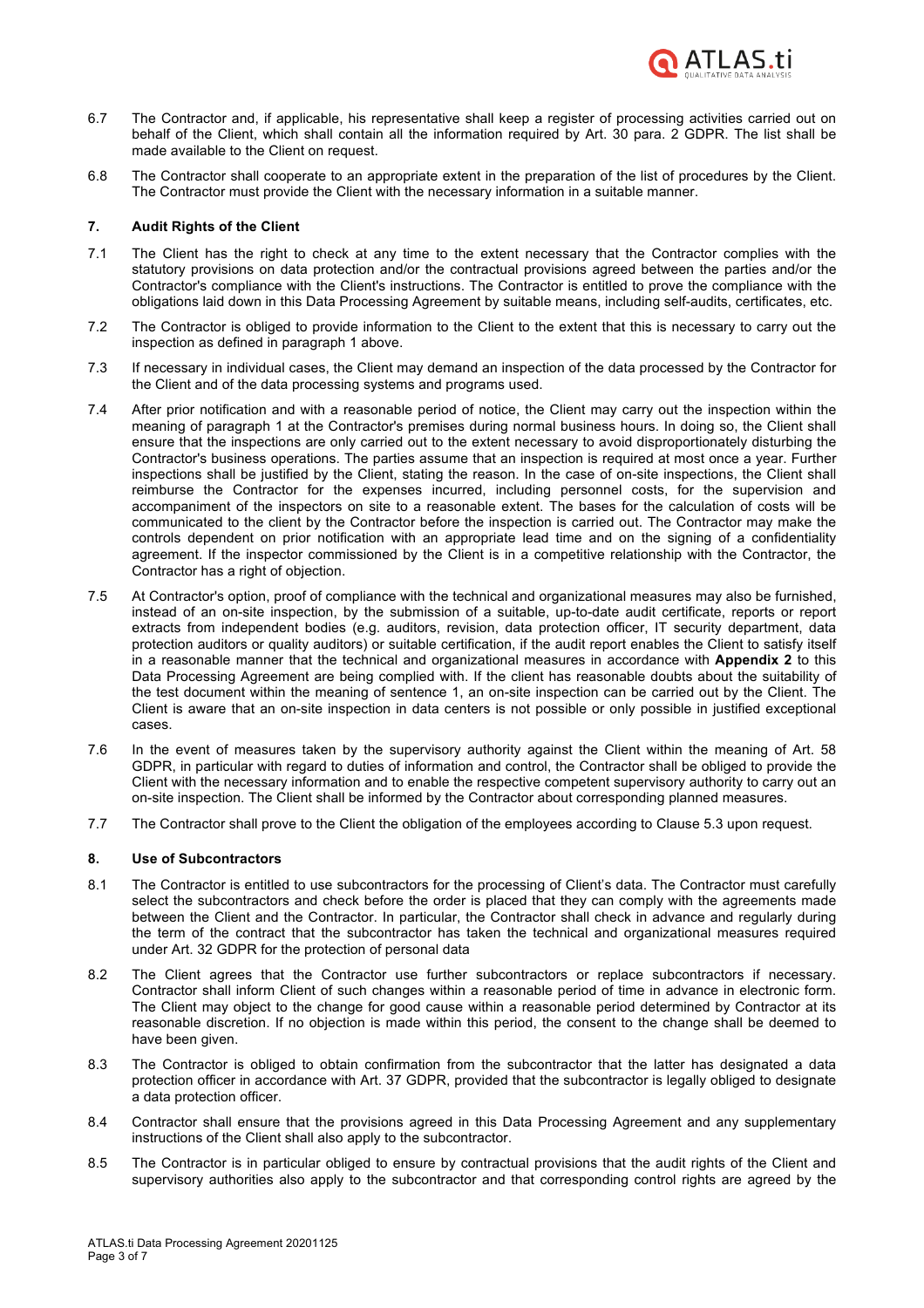

- 6.7 The Contractor and, if applicable, his representative shall keep a register of processing activities carried out on behalf of the Client, which shall contain all the information required by Art. 30 para. 2 GDPR. The list shall be made available to the Client on request.
- 6.8 The Contractor shall cooperate to an appropriate extent in the preparation of the list of procedures by the Client. The Contractor must provide the Client with the necessary information in a suitable manner.

### **7. Audit Rights of the Client**

- 7.1 The Client has the right to check at any time to the extent necessary that the Contractor complies with the statutory provisions on data protection and/or the contractual provisions agreed between the parties and/or the Contractor's compliance with the Client's instructions. The Contractor is entitled to prove the compliance with the obligations laid down in this Data Processing Agreement by suitable means, including self-audits, certificates, etc.
- 7.2 The Contractor is obliged to provide information to the Client to the extent that this is necessary to carry out the inspection as defined in paragraph 1 above.
- 7.3 If necessary in individual cases, the Client may demand an inspection of the data processed by the Contractor for the Client and of the data processing systems and programs used.
- 7.4 After prior notification and with a reasonable period of notice, the Client may carry out the inspection within the meaning of paragraph 1 at the Contractor's premises during normal business hours. In doing so, the Client shall ensure that the inspections are only carried out to the extent necessary to avoid disproportionately disturbing the Contractor's business operations. The parties assume that an inspection is required at most once a year. Further inspections shall be justified by the Client, stating the reason. In the case of on-site inspections, the Client shall reimburse the Contractor for the expenses incurred, including personnel costs, for the supervision and accompaniment of the inspectors on site to a reasonable extent. The bases for the calculation of costs will be communicated to the client by the Contractor before the inspection is carried out. The Contractor may make the controls dependent on prior notification with an appropriate lead time and on the signing of a confidentiality agreement. If the inspector commissioned by the Client is in a competitive relationship with the Contractor, the Contractor has a right of objection.
- 7.5 At Contractor's option, proof of compliance with the technical and organizational measures may also be furnished, instead of an on-site inspection, by the submission of a suitable, up-to-date audit certificate, reports or report extracts from independent bodies (e.g. auditors, revision, data protection officer, IT security department, data protection auditors or quality auditors) or suitable certification, if the audit report enables the Client to satisfy itself in a reasonable manner that the technical and organizational measures in accordance with **Appendix 2** to this Data Processing Agreement are being complied with. If the client has reasonable doubts about the suitability of the test document within the meaning of sentence 1, an on-site inspection can be carried out by the Client. The Client is aware that an on-site inspection in data centers is not possible or only possible in justified exceptional cases.
- 7.6 In the event of measures taken by the supervisory authority against the Client within the meaning of Art. 58 GDPR, in particular with regard to duties of information and control, the Contractor shall be obliged to provide the Client with the necessary information and to enable the respective competent supervisory authority to carry out an on-site inspection. The Client shall be informed by the Contractor about corresponding planned measures.
- 7.7 The Contractor shall prove to the Client the obligation of the employees according to Clause 5.3 upon request.

### **8. Use of Subcontractors**

- 8.1 The Contractor is entitled to use subcontractors for the processing of Client's data. The Contractor must carefully select the subcontractors and check before the order is placed that they can comply with the agreements made between the Client and the Contractor. In particular, the Contractor shall check in advance and regularly during the term of the contract that the subcontractor has taken the technical and organizational measures required under Art. 32 GDPR for the protection of personal data
- 8.2 The Client agrees that the Contractor use further subcontractors or replace subcontractors if necessary. Contractor shall inform Client of such changes within a reasonable period of time in advance in electronic form. The Client may object to the change for good cause within a reasonable period determined by Contractor at its reasonable discretion. If no objection is made within this period, the consent to the change shall be deemed to have been given.
- 8.3 The Contractor is obliged to obtain confirmation from the subcontractor that the latter has designated a data protection officer in accordance with Art. 37 GDPR, provided that the subcontractor is legally obliged to designate a data protection officer.
- 8.4 Contractor shall ensure that the provisions agreed in this Data Processing Agreement and any supplementary instructions of the Client shall also apply to the subcontractor.
- 8.5 The Contractor is in particular obliged to ensure by contractual provisions that the audit rights of the Client and supervisory authorities also apply to the subcontractor and that corresponding control rights are agreed by the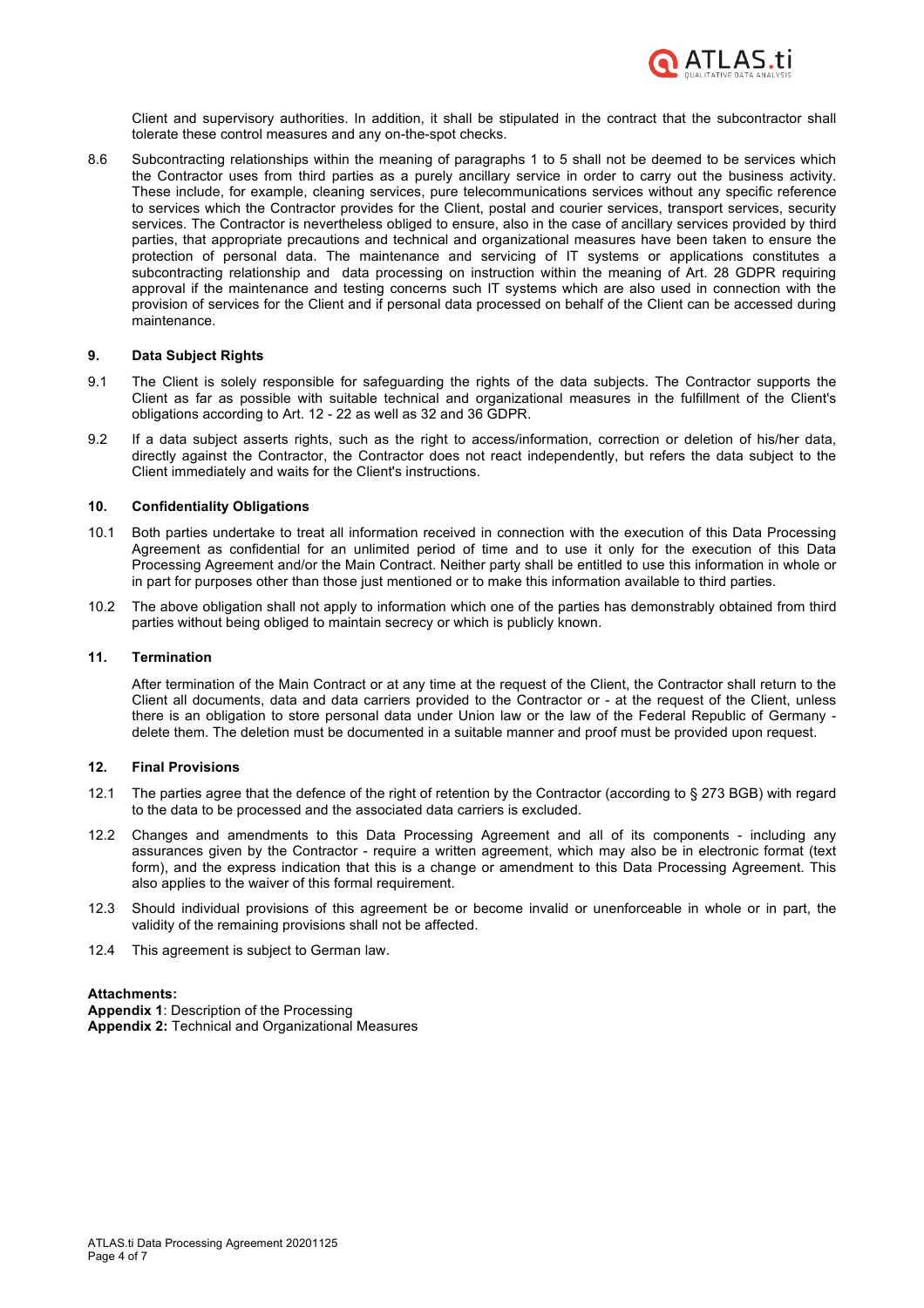

Client and supervisory authorities. In addition, it shall be stipulated in the contract that the subcontractor shall tolerate these control measures and any on-the-spot checks.

8.6 Subcontracting relationships within the meaning of paragraphs 1 to 5 shall not be deemed to be services which the Contractor uses from third parties as a purely ancillary service in order to carry out the business activity. These include, for example, cleaning services, pure telecommunications services without any specific reference to services which the Contractor provides for the Client, postal and courier services, transport services, security services. The Contractor is nevertheless obliged to ensure, also in the case of ancillary services provided by third parties, that appropriate precautions and technical and organizational measures have been taken to ensure the protection of personal data. The maintenance and servicing of IT systems or applications constitutes a subcontracting relationship and data processing on instruction within the meaning of Art. 28 GDPR requiring approval if the maintenance and testing concerns such IT systems which are also used in connection with the provision of services for the Client and if personal data processed on behalf of the Client can be accessed during maintenance.

### **9. Data Subject Rights**

- 9.1 The Client is solely responsible for safeguarding the rights of the data subjects. The Contractor supports the Client as far as possible with suitable technical and organizational measures in the fulfillment of the Client's obligations according to Art. 12 - 22 as well as 32 and 36 GDPR.
- 9.2 If a data subject asserts rights, such as the right to access/information, correction or deletion of his/her data, directly against the Contractor, the Contractor does not react independently, but refers the data subject to the Client immediately and waits for the Client's instructions.

### **10. Confidentiality Obligations**

- 10.1 Both parties undertake to treat all information received in connection with the execution of this Data Processing Agreement as confidential for an unlimited period of time and to use it only for the execution of this Data Processing Agreement and/or the Main Contract. Neither party shall be entitled to use this information in whole or in part for purposes other than those just mentioned or to make this information available to third parties.
- 10.2 The above obligation shall not apply to information which one of the parties has demonstrably obtained from third parties without being obliged to maintain secrecy or which is publicly known.

### **11. Termination**

After termination of the Main Contract or at any time at the request of the Client, the Contractor shall return to the Client all documents, data and data carriers provided to the Contractor or - at the request of the Client, unless there is an obligation to store personal data under Union law or the law of the Federal Republic of Germany delete them. The deletion must be documented in a suitable manner and proof must be provided upon request.

#### **12. Final Provisions**

- 12.1 The parties agree that the defence of the right of retention by the Contractor (according to § 273 BGB) with regard to the data to be processed and the associated data carriers is excluded.
- 12.2 Changes and amendments to this Data Processing Agreement and all of its components including any assurances given by the Contractor - require a written agreement, which may also be in electronic format (text form), and the express indication that this is a change or amendment to this Data Processing Agreement. This also applies to the waiver of this formal requirement.
- 12.3 Should individual provisions of this agreement be or become invalid or unenforceable in whole or in part, the validity of the remaining provisions shall not be affected.
- 12.4 This agreement is subject to German law.

### **Attachments:**

**Appendix 1**: Description of the Processing **Appendix 2:** Technical and Organizational Measures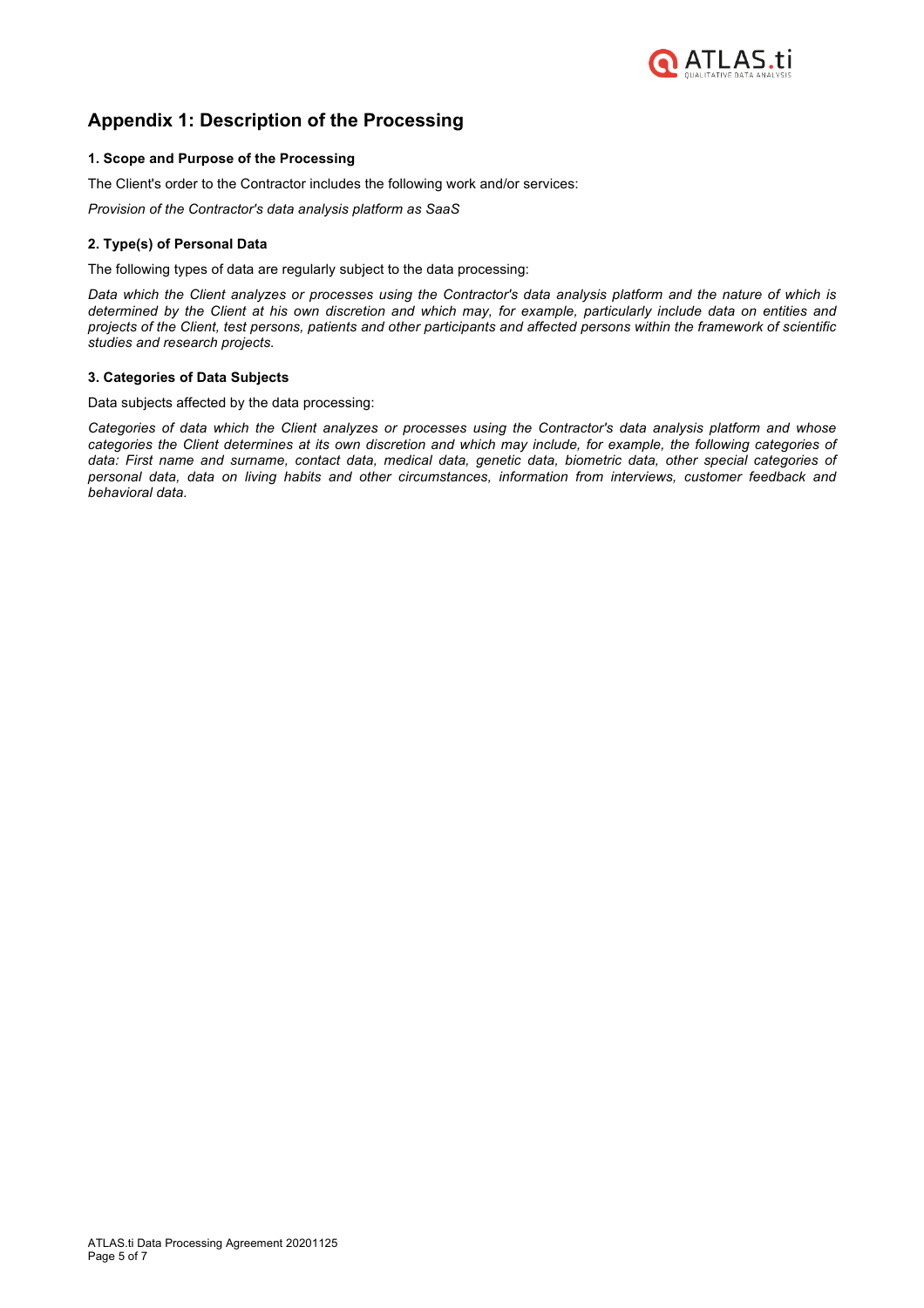

# **Appendix 1: Description of the Processing**

## **1. Scope and Purpose of the Processing**

The Client's order to the Contractor includes the following work and/or services:

*Provision of the Contractor's data analysis platform as SaaS*

## **2. Type(s) of Personal Data**

The following types of data are regularly subject to the data processing:

*Data which the Client analyzes or processes using the Contractor's data analysis platform and the nature of which is determined by the Client at his own discretion and which may, for example, particularly include data on entities and projects of the Client, test persons, patients and other participants and affected persons within the framework of scientific studies and research projects.*

### **3. Categories of Data Subjects**

Data subjects affected by the data processing:

*Categories of data which the Client analyzes or processes using the Contractor's data analysis platform and whose categories the Client determines at its own discretion and which may include, for example, the following categories of data: First name and surname, contact data, medical data, genetic data, biometric data, other special categories of personal data, data on living habits and other circumstances, information from interviews, customer feedback and behavioral data.*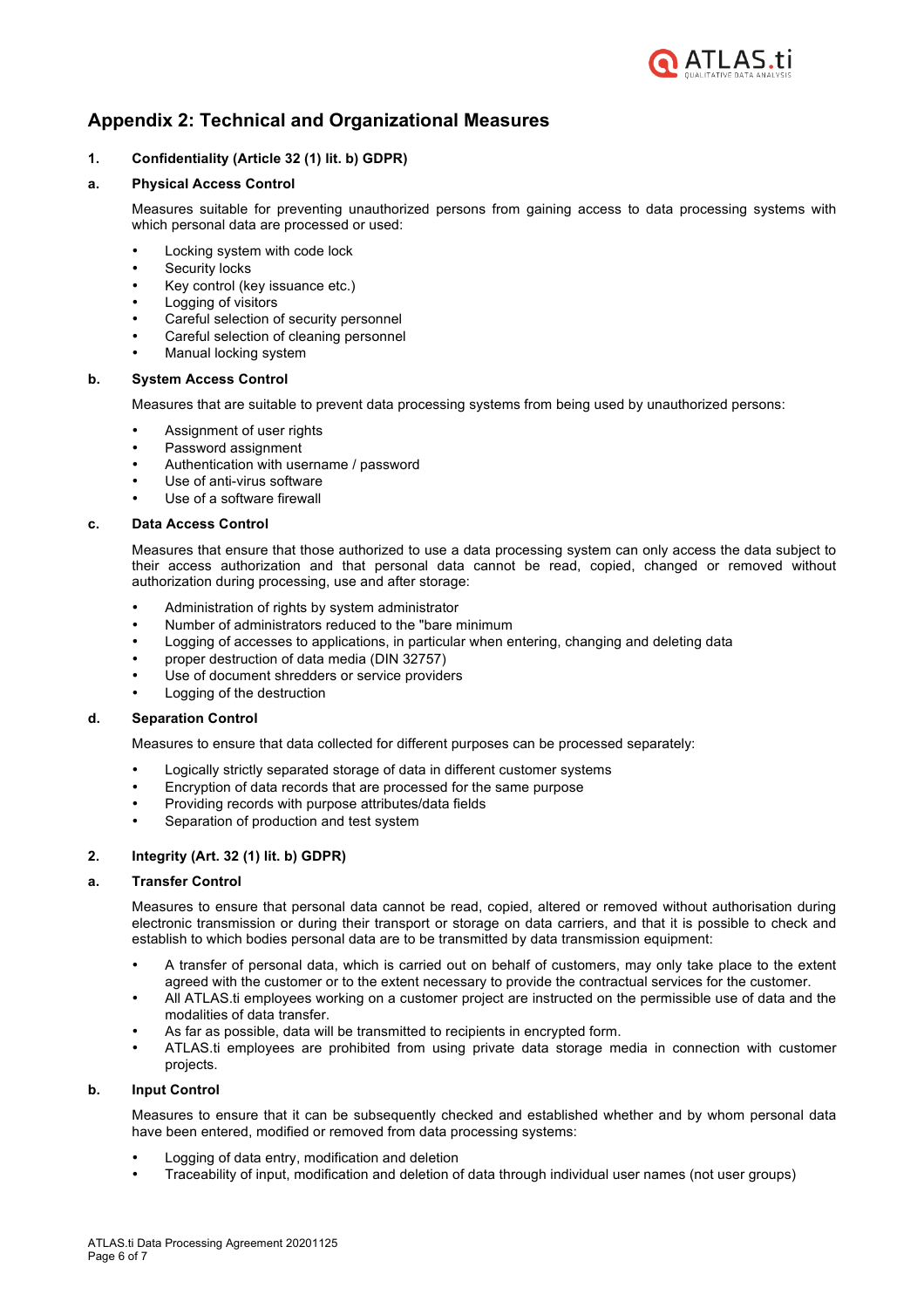

# **Appendix 2: Technical and Organizational Measures**

# **1. Confidentiality (Article 32 (1) lit. b) GDPR)**

## **a. Physical Access Control**

Measures suitable for preventing unauthorized persons from gaining access to data processing systems with which personal data are processed or used:

- Locking system with code lock
- Security locks
- Key control (key issuance etc.)
- Logging of visitors
- Careful selection of security personnel
- Careful selection of cleaning personnel
- Manual locking system

## **b. System Access Control**

Measures that are suitable to prevent data processing systems from being used by unauthorized persons:

- Assignment of user rights
- Password assignment
- Authentication with username / password
- Use of anti-virus software
- Use of a software firewall

## **c. Data Access Control**

Measures that ensure that those authorized to use a data processing system can only access the data subject to their access authorization and that personal data cannot be read, copied, changed or removed without authorization during processing, use and after storage:

- Administration of rights by system administrator
- Number of administrators reduced to the "bare minimum
- Logging of accesses to applications, in particular when entering, changing and deleting data
- proper destruction of data media (DIN 32757)
- Use of document shredders or service providers
- Logging of the destruction

### **d. Separation Control**

Measures to ensure that data collected for different purposes can be processed separately:

- Logically strictly separated storage of data in different customer systems
- Encryption of data records that are processed for the same purpose
- Providing records with purpose attributes/data fields
- Separation of production and test system

# **2. Integrity (Art. 32 (1) lit. b) GDPR)**

### **a. Transfer Control**

Measures to ensure that personal data cannot be read, copied, altered or removed without authorisation during electronic transmission or during their transport or storage on data carriers, and that it is possible to check and establish to which bodies personal data are to be transmitted by data transmission equipment:

- A transfer of personal data, which is carried out on behalf of customers, may only take place to the extent agreed with the customer or to the extent necessary to provide the contractual services for the customer.
- All ATLAS.ti employees working on a customer project are instructed on the permissible use of data and the modalities of data transfer.
- As far as possible, data will be transmitted to recipients in encrypted form.
- ATLAS.ti employees are prohibited from using private data storage media in connection with customer projects.

### **b. Input Control**

Measures to ensure that it can be subsequently checked and established whether and by whom personal data have been entered, modified or removed from data processing systems:

- Logging of data entry, modification and deletion
- Traceability of input, modification and deletion of data through individual user names (not user groups)